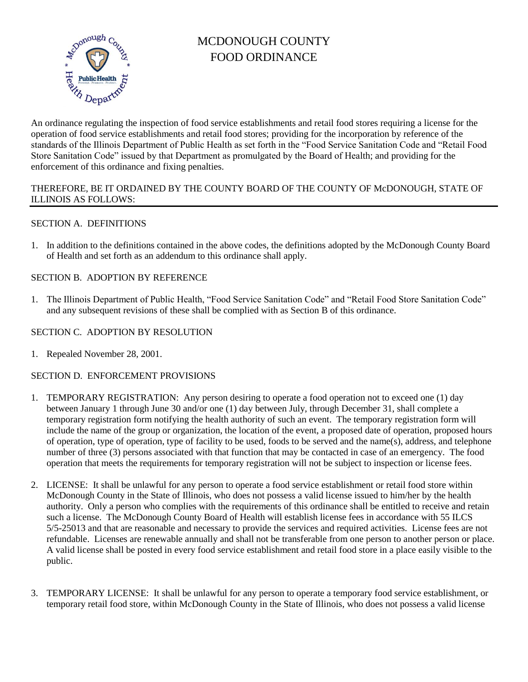

# MCDONOUGH COUNTY FOOD ORDINANCE

An ordinance regulating the inspection of food service establishments and retail food stores requiring a license for the operation of food service establishments and retail food stores; providing for the incorporation by reference of the standards of the Illinois Department of Public Health as set forth in the "Food Service Sanitation Code and "Retail Food Store Sanitation Code" issued by that Department as promulgated by the Board of Health; and providing for the enforcement of this ordinance and fixing penalties.

### THEREFORE, BE IT ORDAINED BY THE COUNTY BOARD OF THE COUNTY OF McDONOUGH, STATE OF ILLINOIS AS FOLLOWS:

# SECTION A. DEFINITIONS

1. In addition to the definitions contained in the above codes, the definitions adopted by the McDonough County Board of Health and set forth as an addendum to this ordinance shall apply.

### SECTION B. ADOPTION BY REFERENCE

1. The Illinois Department of Public Health, "Food Service Sanitation Code" and "Retail Food Store Sanitation Code" and any subsequent revisions of these shall be complied with as Section B of this ordinance.

## SECTION C. ADOPTION BY RESOLUTION

1. Repealed November 28, 2001.

### SECTION D. ENFORCEMENT PROVISIONS

- 1. TEMPORARY REGISTRATION: Any person desiring to operate a food operation not to exceed one (1) day between January 1 through June 30 and/or one (1) day between July, through December 31, shall complete a temporary registration form notifying the health authority of such an event. The temporary registration form will include the name of the group or organization, the location of the event, a proposed date of operation, proposed hours of operation, type of operation, type of facility to be used, foods to be served and the name(s), address, and telephone number of three (3) persons associated with that function that may be contacted in case of an emergency. The food operation that meets the requirements for temporary registration will not be subject to inspection or license fees.
- 2. LICENSE: It shall be unlawful for any person to operate a food service establishment or retail food store within McDonough County in the State of Illinois, who does not possess a valid license issued to him/her by the health authority. Only a person who complies with the requirements of this ordinance shall be entitled to receive and retain such a license. The McDonough County Board of Health will establish license fees in accordance with 55 ILCS 5/5-25013 and that are reasonable and necessary to provide the services and required activities. License fees are not refundable. Licenses are renewable annually and shall not be transferable from one person to another person or place. A valid license shall be posted in every food service establishment and retail food store in a place easily visible to the public.
- 3. TEMPORARY LICENSE: It shall be unlawful for any person to operate a temporary food service establishment, or temporary retail food store, within McDonough County in the State of Illinois, who does not possess a valid license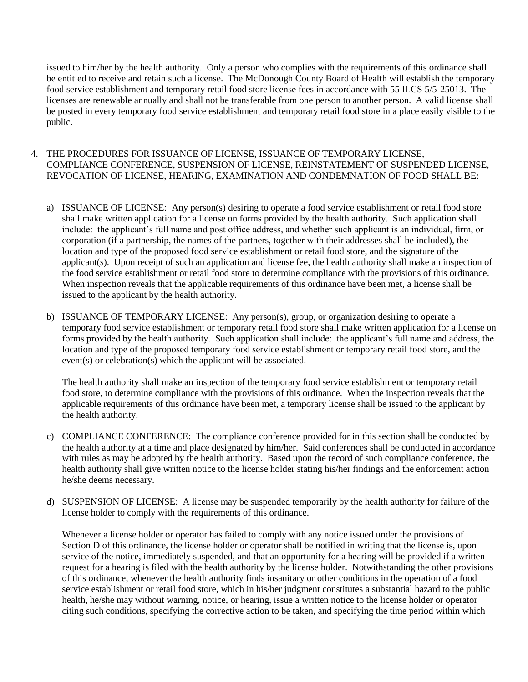issued to him/her by the health authority. Only a person who complies with the requirements of this ordinance shall be entitled to receive and retain such a license. The McDonough County Board of Health will establish the temporary food service establishment and temporary retail food store license fees in accordance with 55 ILCS 5/5-25013. The licenses are renewable annually and shall not be transferable from one person to another person. A valid license shall be posted in every temporary food service establishment and temporary retail food store in a place easily visible to the public.

#### 4. THE PROCEDURES FOR ISSUANCE OF LICENSE, ISSUANCE OF TEMPORARY LICENSE, COMPLIANCE CONFERENCE, SUSPENSION OF LICENSE, REINSTATEMENT OF SUSPENDED LICENSE, REVOCATION OF LICENSE, HEARING, EXAMINATION AND CONDEMNATION OF FOOD SHALL BE:

- a) ISSUANCE OF LICENSE: Any person(s) desiring to operate a food service establishment or retail food store shall make written application for a license on forms provided by the health authority. Such application shall include: the applicant's full name and post office address, and whether such applicant is an individual, firm, or corporation (if a partnership, the names of the partners, together with their addresses shall be included), the location and type of the proposed food service establishment or retail food store, and the signature of the applicant(s). Upon receipt of such an application and license fee, the health authority shall make an inspection of the food service establishment or retail food store to determine compliance with the provisions of this ordinance. When inspection reveals that the applicable requirements of this ordinance have been met, a license shall be issued to the applicant by the health authority.
- b) ISSUANCE OF TEMPORARY LICENSE: Any person(s), group, or organization desiring to operate a temporary food service establishment or temporary retail food store shall make written application for a license on forms provided by the health authority. Such application shall include: the applicant's full name and address, the location and type of the proposed temporary food service establishment or temporary retail food store, and the event(s) or celebration(s) which the applicant will be associated.

The health authority shall make an inspection of the temporary food service establishment or temporary retail food store, to determine compliance with the provisions of this ordinance. When the inspection reveals that the applicable requirements of this ordinance have been met, a temporary license shall be issued to the applicant by the health authority.

- c) COMPLIANCE CONFERENCE: The compliance conference provided for in this section shall be conducted by the health authority at a time and place designated by him/her. Said conferences shall be conducted in accordance with rules as may be adopted by the health authority. Based upon the record of such compliance conference, the health authority shall give written notice to the license holder stating his/her findings and the enforcement action he/she deems necessary.
- d) SUSPENSION OF LICENSE: A license may be suspended temporarily by the health authority for failure of the license holder to comply with the requirements of this ordinance.

Whenever a license holder or operator has failed to comply with any notice issued under the provisions of Section D of this ordinance, the license holder or operator shall be notified in writing that the license is, upon service of the notice, immediately suspended, and that an opportunity for a hearing will be provided if a written request for a hearing is filed with the health authority by the license holder. Notwithstanding the other provisions of this ordinance, whenever the health authority finds insanitary or other conditions in the operation of a food service establishment or retail food store, which in his/her judgment constitutes a substantial hazard to the public health, he/she may without warning, notice, or hearing, issue a written notice to the license holder or operator citing such conditions, specifying the corrective action to be taken, and specifying the time period within which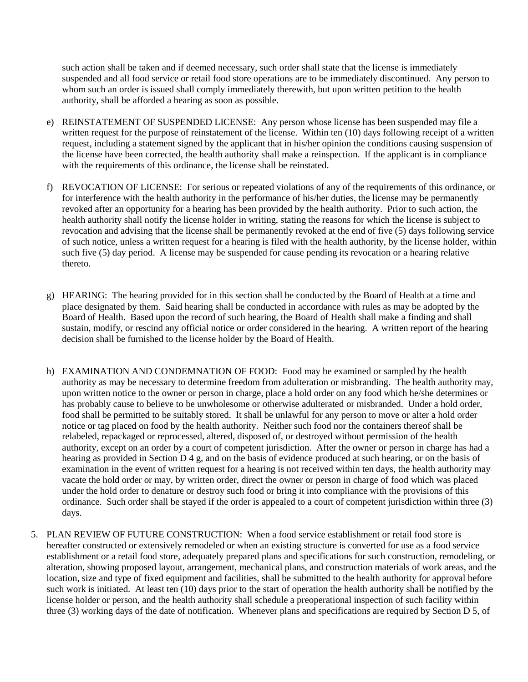such action shall be taken and if deemed necessary, such order shall state that the license is immediately suspended and all food service or retail food store operations are to be immediately discontinued. Any person to whom such an order is issued shall comply immediately therewith, but upon written petition to the health authority, shall be afforded a hearing as soon as possible.

- e) REINSTATEMENT OF SUSPENDED LICENSE: Any person whose license has been suspended may file a written request for the purpose of reinstatement of the license. Within ten (10) days following receipt of a written request, including a statement signed by the applicant that in his/her opinion the conditions causing suspension of the license have been corrected, the health authority shall make a reinspection. If the applicant is in compliance with the requirements of this ordinance, the license shall be reinstated.
- f) REVOCATION OF LICENSE: For serious or repeated violations of any of the requirements of this ordinance, or for interference with the health authority in the performance of his/her duties, the license may be permanently revoked after an opportunity for a hearing has been provided by the health authority. Prior to such action, the health authority shall notify the license holder in writing, stating the reasons for which the license is subject to revocation and advising that the license shall be permanently revoked at the end of five (5) days following service of such notice, unless a written request for a hearing is filed with the health authority, by the license holder, within such five (5) day period. A license may be suspended for cause pending its revocation or a hearing relative thereto.
- g) HEARING: The hearing provided for in this section shall be conducted by the Board of Health at a time and place designated by them. Said hearing shall be conducted in accordance with rules as may be adopted by the Board of Health. Based upon the record of such hearing, the Board of Health shall make a finding and shall sustain, modify, or rescind any official notice or order considered in the hearing. A written report of the hearing decision shall be furnished to the license holder by the Board of Health.
- h) EXAMINATION AND CONDEMNATION OF FOOD: Food may be examined or sampled by the health authority as may be necessary to determine freedom from adulteration or misbranding. The health authority may, upon written notice to the owner or person in charge, place a hold order on any food which he/she determines or has probably cause to believe to be unwholesome or otherwise adulterated or misbranded. Under a hold order, food shall be permitted to be suitably stored. It shall be unlawful for any person to move or alter a hold order notice or tag placed on food by the health authority. Neither such food nor the containers thereof shall be relabeled, repackaged or reprocessed, altered, disposed of, or destroyed without permission of the health authority, except on an order by a court of competent jurisdiction. After the owner or person in charge has had a hearing as provided in Section D 4 g, and on the basis of evidence produced at such hearing, or on the basis of examination in the event of written request for a hearing is not received within ten days, the health authority may vacate the hold order or may, by written order, direct the owner or person in charge of food which was placed under the hold order to denature or destroy such food or bring it into compliance with the provisions of this ordinance. Such order shall be stayed if the order is appealed to a court of competent jurisdiction within three (3) days.
- 5. PLAN REVIEW OF FUTURE CONSTRUCTION: When a food service establishment or retail food store is hereafter constructed or extensively remodeled or when an existing structure is converted for use as a food service establishment or a retail food store, adequately prepared plans and specifications for such construction, remodeling, or alteration, showing proposed layout, arrangement, mechanical plans, and construction materials of work areas, and the location, size and type of fixed equipment and facilities, shall be submitted to the health authority for approval before such work is initiated. At least ten (10) days prior to the start of operation the health authority shall be notified by the license holder or person, and the health authority shall schedule a preoperational inspection of such facility within three (3) working days of the date of notification. Whenever plans and specifications are required by Section D 5, of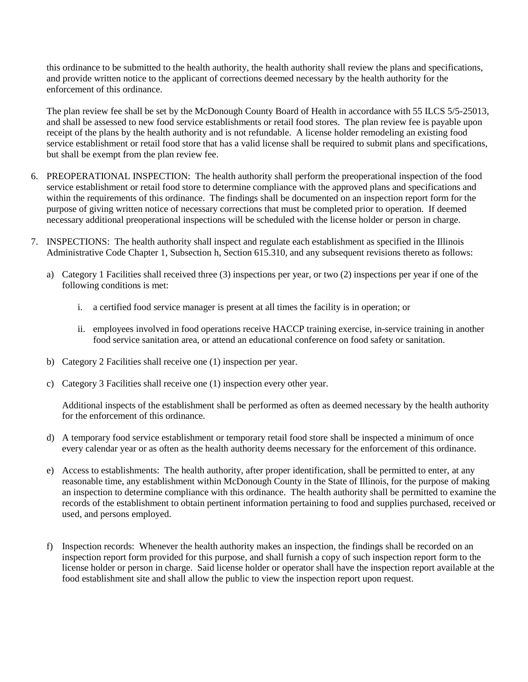this ordinance to be submitted to the health authority, the health authority shall review the plans and specifications, and provide written notice to the applicant of corrections deemed necessary by the health authority for the enforcement of this ordinance.

The plan review fee shall be set by the McDonough County Board of Health in accordance with 55 ILCS 5/5-25013, and shall be assessed to new food service establishments or retail food stores. The plan review fee is payable upon receipt of the plans by the health authority and is not refundable. A license holder remodeling an existing food service establishment or retail food store that has a valid license shall be required to submit plans and specifications, but shall be exempt from the plan review fee.

- 6. PREOPERATIONAL INSPECTION: The health authority shall perform the preoperational inspection of the food service establishment or retail food store to determine compliance with the approved plans and specifications and within the requirements of this ordinance. The findings shall be documented on an inspection report form for the purpose of giving written notice of necessary corrections that must be completed prior to operation. If deemed necessary additional preoperational inspections will be scheduled with the license holder or person in charge.
- 7. INSPECTIONS: The health authority shall inspect and regulate each establishment as specified in the Illinois Administrative Code Chapter 1, Subsection h, Section 615.310, and any subsequent revisions thereto as follows:
	- a) Category 1 Facilities shall received three (3) inspections per year, or two (2) inspections per year if one of the following conditions is met:
		- i. a certified food service manager is present at all times the facility is in operation; or
		- ii. employees involved in food operations receive HACCP training exercise, in-service training in another food service sanitation area, or attend an educational conference on food safety or sanitation.
	- b) Category 2 Facilities shall receive one (1) inspection per year.
	- c) Category 3 Facilities shall receive one (1) inspection every other year.

Additional inspects of the establishment shall be performed as often as deemed necessary by the health authority for the enforcement of this ordinance.

- d) A temporary food service establishment or temporary retail food store shall be inspected a minimum of once every calendar year or as often as the health authority deems necessary for the enforcement of this ordinance.
- e) Access to establishments: The health authority, after proper identification, shall be permitted to enter, at any reasonable time, any establishment within McDonough County in the State of Illinois, for the purpose of making an inspection to determine compliance with this ordinance. The health authority shall be permitted to examine the records of the establishment to obtain pertinent information pertaining to food and supplies purchased, received or used, and persons employed.
- f) Inspection records: Whenever the health authority makes an inspection, the findings shall be recorded on an inspection report form provided for this purpose, and shall furnish a copy of such inspection report form to the license holder or person in charge. Said license holder or operator shall have the inspection report available at the food establishment site and shall allow the public to view the inspection report upon request.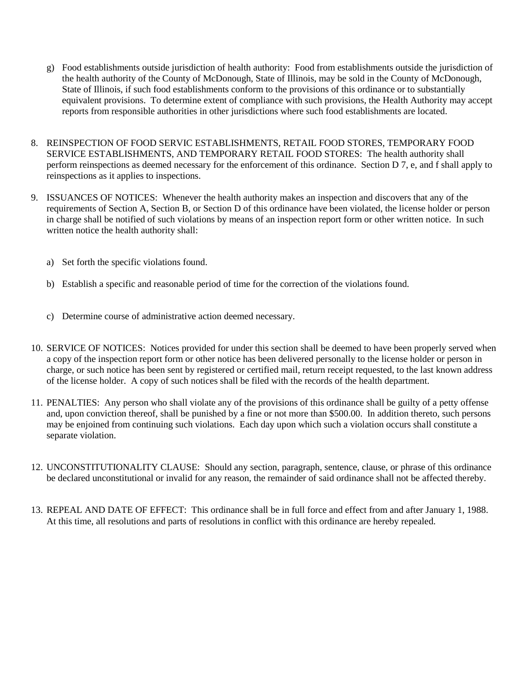- g) Food establishments outside jurisdiction of health authority: Food from establishments outside the jurisdiction of the health authority of the County of McDonough, State of Illinois, may be sold in the County of McDonough, State of Illinois, if such food establishments conform to the provisions of this ordinance or to substantially equivalent provisions. To determine extent of compliance with such provisions, the Health Authority may accept reports from responsible authorities in other jurisdictions where such food establishments are located.
- 8. REINSPECTION OF FOOD SERVIC ESTABLISHMENTS, RETAIL FOOD STORES, TEMPORARY FOOD SERVICE ESTABLISHMENTS, AND TEMPORARY RETAIL FOOD STORES: The health authority shall perform reinspections as deemed necessary for the enforcement of this ordinance. Section D 7, e, and f shall apply to reinspections as it applies to inspections.
- 9. ISSUANCES OF NOTICES: Whenever the health authority makes an inspection and discovers that any of the requirements of Section A, Section B, or Section D of this ordinance have been violated, the license holder or person in charge shall be notified of such violations by means of an inspection report form or other written notice. In such written notice the health authority shall:
	- a) Set forth the specific violations found.
	- b) Establish a specific and reasonable period of time for the correction of the violations found.
	- c) Determine course of administrative action deemed necessary.
- 10. SERVICE OF NOTICES: Notices provided for under this section shall be deemed to have been properly served when a copy of the inspection report form or other notice has been delivered personally to the license holder or person in charge, or such notice has been sent by registered or certified mail, return receipt requested, to the last known address of the license holder. A copy of such notices shall be filed with the records of the health department.
- 11. PENALTIES: Any person who shall violate any of the provisions of this ordinance shall be guilty of a petty offense and, upon conviction thereof, shall be punished by a fine or not more than \$500.00. In addition thereto, such persons may be enjoined from continuing such violations. Each day upon which such a violation occurs shall constitute a separate violation.
- 12. UNCONSTITUTIONALITY CLAUSE: Should any section, paragraph, sentence, clause, or phrase of this ordinance be declared unconstitutional or invalid for any reason, the remainder of said ordinance shall not be affected thereby.
- 13. REPEAL AND DATE OF EFFECT: This ordinance shall be in full force and effect from and after January 1, 1988. At this time, all resolutions and parts of resolutions in conflict with this ordinance are hereby repealed.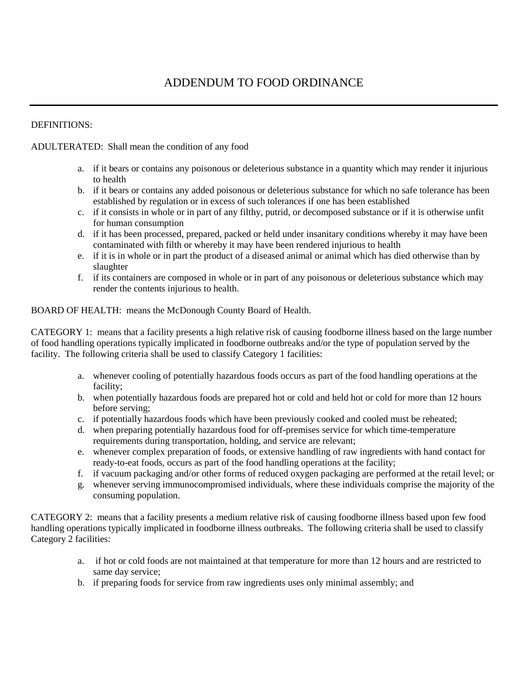# ADDENDUM TO FOOD ORDINANCE

#### DEFINITIONS:

#### ADULTERATED: Shall mean the condition of any food

- a. if it bears or contains any poisonous or deleterious substance in a quantity which may render it injurious to health
- b. if it bears or contains any added poisonous or deleterious substance for which no safe tolerance has been established by regulation or in excess of such tolerances if one has been established
- c. if it consists in whole or in part of any filthy, putrid, or decomposed substance or if it is otherwise unfit for human consumption
- d. if it has been processed, prepared, packed or held under insanitary conditions whereby it may have been contaminated with filth or whereby it may have been rendered injurious to health
- e. if it is in whole or in part the product of a diseased animal or animal which has died otherwise than by slaughter
- f. if its containers are composed in whole or in part of any poisonous or deleterious substance which may render the contents injurious to health.

BOARD OF HEALTH: means the McDonough County Board of Health.

CATEGORY 1: means that a facility presents a high relative risk of causing foodborne illness based on the large number of food handling operations typically implicated in foodborne outbreaks and/or the type of population served by the facility. The following criteria shall be used to classify Category 1 facilities:

- a. whenever cooling of potentially hazardous foods occurs as part of the food handling operations at the facility;
- b. when potentially hazardous foods are prepared hot or cold and held hot or cold for more than 12 hours before serving;
- c. if potentially hazardous foods which have been previously cooked and cooled must be reheated;
- d. when preparing potentially hazardous food for off-premises service for which time-temperature requirements during transportation, holding, and service are relevant;
- e. whenever complex preparation of foods, or extensive handling of raw ingredients with hand contact for ready-to-eat foods, occurs as part of the food handling operations at the facility;
- f. if vacuum packaging and/or other forms of reduced oxygen packaging are performed at the retail level; or
- g. whenever serving immunocompromised individuals, where these individuals comprise the majority of the consuming population.

CATEGORY 2: means that a facility presents a medium relative risk of causing foodborne illness based upon few food handling operations typically implicated in foodborne illness outbreaks. The following criteria shall be used to classify Category 2 facilities:

- a. if hot or cold foods are not maintained at that temperature for more than 12 hours and are restricted to same day service;
- b. if preparing foods for service from raw ingredients uses only minimal assembly; and